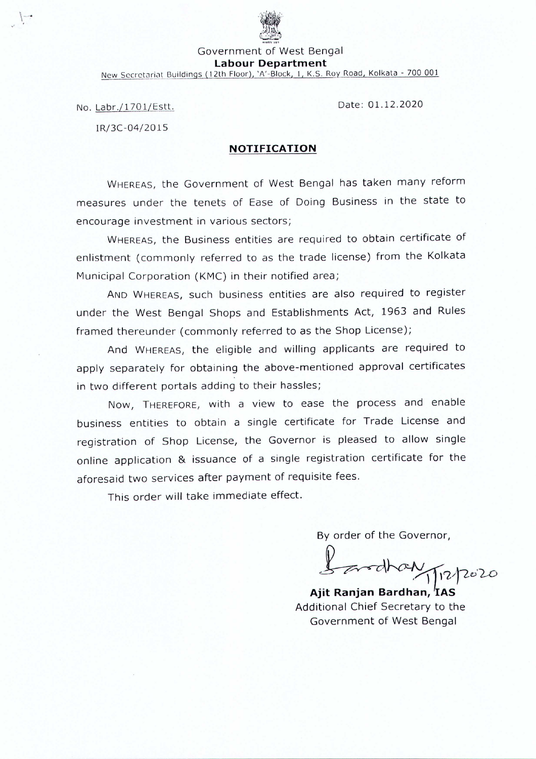

Government of West Bengal **Labour Department**

New Secretariat Buildings (12th Floor), 'A'-Block, 1, K.S. Roy Road, Kolkata - 700 001

No. Labr./1701/Estt.

Date: 01.12.2020

IR/3C-04/20 15

## **NOTIFICATION**

WHEREAS, the Government of West Bengal has taken many reform measures under the tenets of Ease of Doing Business in the state to encourage investment in various sectors;

WHEREAS, the Business entities are required to obtain certificate of enlistment (commonly referred to as the trade license) from the Kolkata Municipal Corporation (KMC) in their notified area;

AND WHEREAS, such business entities are also required to register under the West Bengal Shops and Establishments Act, 1963 and Rules framed thereunder (commonly referred to as the Shop License);

And WHEREAS, the eligible and willing applicants are required to apply separately for obtaining the above-mentioned approval certificates in two different portals adding to their hassles;

Now, THEREFORE, with a view to ease the process and enable business entities to obtain a single certificate for Trade License and registration of Shop License, the Governor is pleased to allow single online application & issuance of a single registration certificate for the aforesaid two services after payment of requisite fees.

This order will take immediate effect.

By order of the Governor,

*1-r~~~'V)?o'~~*

**Ajit Ranjan Bardhan, lAS** Additional Chief Secretary to the Government of West Bengal